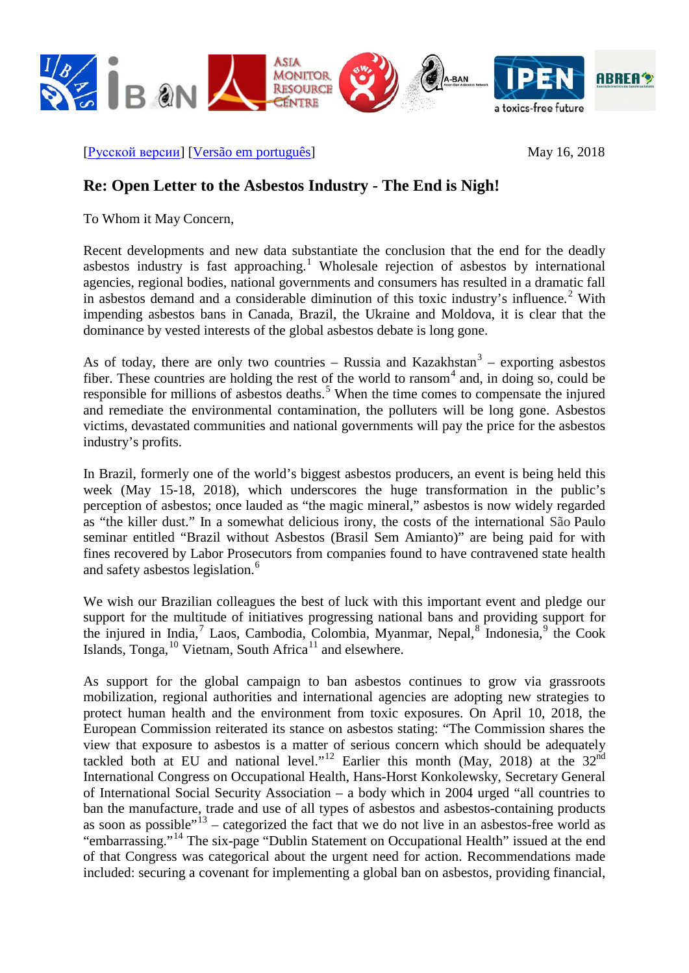

[[Русской версии](http://ibasecretariat.org/open-letter-to-the-asbestos-industry-may-16-2018-russian.pdf)] [\[Versão em português\]](http://ibasecretariat.org/open-letter-to-the-asbestos-industry-may-16-2018-portuguese.pdf) May 16, 2018

## **Re: Open Letter to the Asbestos Industry - The End is Nigh!**

To Whom it May Concern,

Recent developments and new data substantiate the conclusion that the end for the deadly asbestos industry is fast approaching.<sup>[1](#page-3-0)</sup> Wholesale rejection of asbestos by international agencies, regional bodies, national governments and consumers has resulted in a dramatic fall in asbestos demand and a considerable diminution of this toxic industry's influence.<sup>[2](#page-3-1)</sup> With impending asbestos bans in Canada, Brazil, the Ukraine and Moldova, it is clear that the dominance by vested interests of the global asbestos debate is long gone.

As of today, there are only two countries – Russia and Kazakhstan<sup>[3](#page-3-2)</sup> – exporting asbestos fiber. These countries are holding the rest of the world to ransom  $4$  and, in doing so, could be responsible for millions of asbestos deaths.<sup>[5](#page-3-4)</sup> When the time comes to compensate the injured and remediate the environmental contamination, the polluters will be long gone. Asbestos victims, devastated communities and national governments will pay the price for the asbestos industry's profits.

In Brazil, formerly one of the world's biggest asbestos producers, an event is being held this week (May 15-18, 2018), which underscores the huge transformation in the public's perception of asbestos; once lauded as "the magic mineral," asbestos is now widely regarded as "the killer dust." In a somewhat delicious irony, the costs of the international São Paulo seminar entitled "Brazil without Asbestos (Brasil Sem Amianto)" are being paid for with fines recovered by Labor Prosecutors from companies found to have contravened state health and safety asbestos legislation.<sup>[6](#page-3-5)</sup>

We wish our Brazilian colleagues the best of luck with this important event and pledge our support for the multitude of initiatives progressing national bans and providing support for the injured in India,<sup>[7](#page-3-6)</sup> Laos, Cambodia, Colombia, Myanmar, Nepal,<sup>[8](#page-3-7)</sup> Indonesia,<sup>[9](#page-3-8)</sup> the Cook Islands, Tonga, $^{10}$  $^{10}$  $^{10}$  Vietnam, South Africa $^{11}$  $^{11}$  $^{11}$  and elsewhere.

As support for the global campaign to ban asbestos continues to grow via grassroots mobilization, regional authorities and international agencies are adopting new strategies to protect human health and the environment from toxic exposures. On April 10, 2018, the European Commission reiterated its stance on asbestos stating: "The Commission shares the view that exposure to asbestos is a matter of serious concern which should be adequately tackled both at EU and national level."<sup>[12](#page-3-11)</sup> Earlier this month (May, 2018) at the 32<sup>nd</sup> International Congress on Occupational Health, Hans-Horst Konkolewsky, Secretary General of International Social Security Association – a body which in 2004 urged "all countries to ban the manufacture, trade and use of all types of asbestos and asbestos-containing products as soon as possible" $13$  – categorized the fact that we do not live in an asbestos-free world as "embarrassing."[14](#page-3-13) The six-page "Dublin Statement on Occupational Health" issued at the end of that Congress was categorical about the urgent need for action. Recommendations made included: securing a covenant for implementing a global ban on asbestos, providing financial,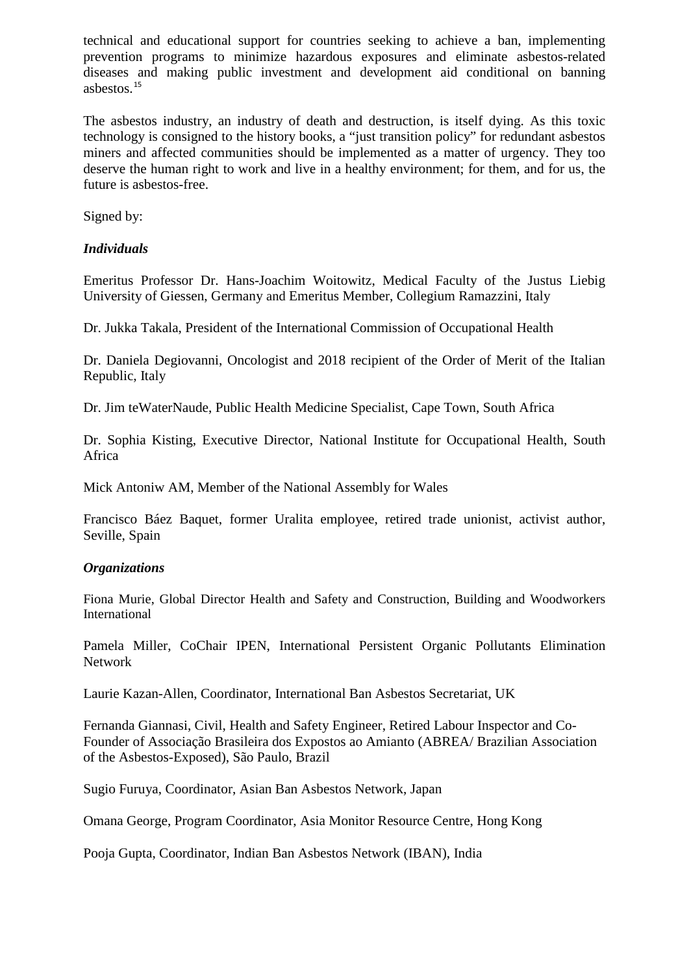technical and educational support for countries seeking to achieve a ban, implementing prevention programs to minimize hazardous exposures and eliminate asbestos-related diseases and making public investment and development aid conditional on banning asbestos.[15](#page-3-14)

The asbestos industry, an industry of death and destruction, is itself dying. As this toxic technology is consigned to the history books, a "just transition policy" for redundant asbestos miners and affected communities should be implemented as a matter of urgency. They too deserve the human right to work and live in a healthy environment; for them, and for us, the future is asbestos-free.

Signed by:

## *Individuals*

Emeritus Professor Dr. Hans-Joachim Woitowitz, Medical Faculty of the Justus Liebig University of Giessen, Germany and Emeritus Member, Collegium Ramazzini, Italy

Dr. Jukka Takala, President of the International Commission of Occupational Health

Dr. Daniela Degiovanni, Oncologist and 2018 recipient of the Order of Merit of the Italian Republic, Italy

Dr. Jim teWaterNaude, Public Health Medicine Specialist, Cape Town, South Africa

Dr. Sophia Kisting, Executive Director, National Institute for Occupational Health, South Africa

Mick Antoniw AM, Member of the National Assembly for Wales

Francisco Báez Baquet, former Uralita employee, retired trade unionist, activist author, Seville, Spain

## *Organizations*

Fiona Murie, Global Director Health and Safety and Construction, Building and Woodworkers International

Pamela Miller, CoChair IPEN, International Persistent Organic Pollutants Elimination Network

Laurie Kazan-Allen, Coordinator, International Ban Asbestos Secretariat, UK

Fernanda Giannasi, Civil, Health and Safety Engineer, Retired Labour Inspector and Co-Founder of Associação Brasileira dos Expostos ao Amianto (ABREA/ Brazilian Association of the Asbestos-Exposed), São Paulo, Brazil

Sugio Furuya, Coordinator, Asian Ban Asbestos Network, Japan

Omana George, Program Coordinator, Asia Monitor Resource Centre, Hong Kong

Pooja Gupta, Coordinator, Indian Ban Asbestos Network (IBAN), India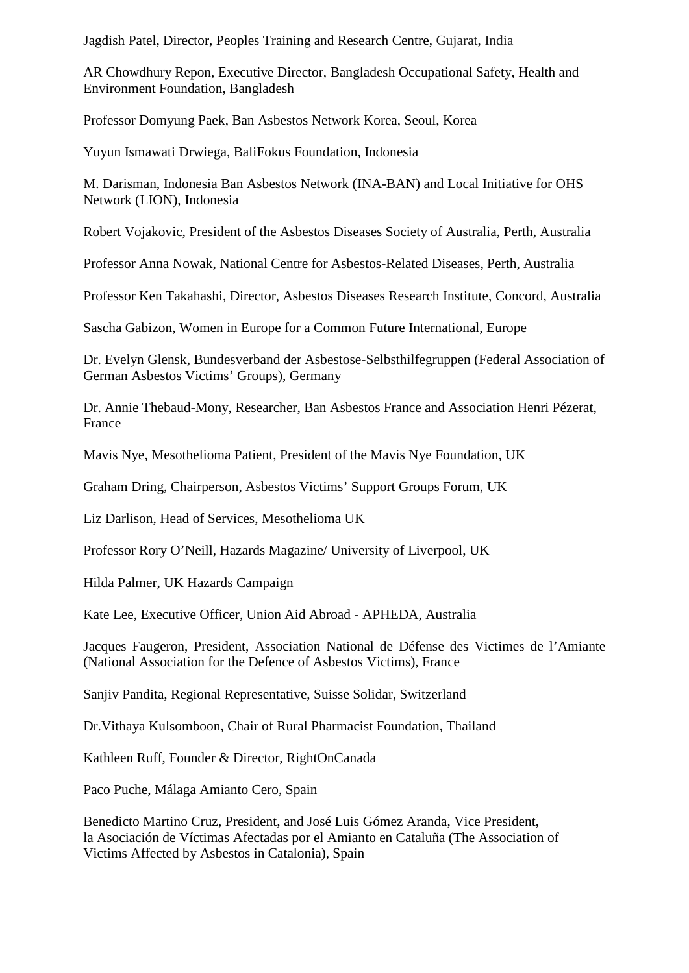Jagdish Patel, Director, Peoples Training and Research Centre, Gujarat, India

AR Chowdhury Repon, Executive Director, Bangladesh Occupational Safety, Health and Environment Foundation, Bangladesh

Professor Domyung Paek, Ban Asbestos Network Korea, Seoul, Korea

Yuyun Ismawati Drwiega, BaliFokus Foundation, Indonesia

M. Darisman, Indonesia Ban Asbestos Network (INA-BAN) and Local Initiative for OHS Network (LION), Indonesia

Robert Vojakovic, President of the Asbestos Diseases Society of Australia, Perth, Australia

Professor Anna Nowak, National Centre for Asbestos-Related Diseases, Perth, Australia

Professor Ken Takahashi, Director, Asbestos Diseases Research Institute, Concord, Australia

Sascha Gabizon, Women in Europe for a Common Future International, Europe

Dr. Evelyn Glensk, Bundesverband der Asbestose-Selbsthilfegruppen (Federal Association of German Asbestos Victims' Groups), Germany

Dr. Annie Thebaud-Mony, Researcher, Ban Asbestos France and Association Henri Pézerat, France

Mavis Nye, Mesothelioma Patient, President of the Mavis Nye Foundation, UK

Graham Dring, Chairperson, Asbestos Victims' Support Groups Forum, UK

Liz Darlison, Head of Services, Mesothelioma UK

Professor Rory O'Neill, Hazards Magazine/ University of Liverpool, UK

Hilda Palmer, UK Hazards Campaign

Kate Lee, Executive Officer, Union Aid Abroad - APHEDA, Australia

Jacques Faugeron, President, Association National de Défense des Victimes de l'Amiante (National Association for the Defence of Asbestos Victims), France

Sanjiv Pandita, Regional Representative, Suisse Solidar, Switzerland

Dr.Vithaya Kulsomboon, Chair of Rural Pharmacist Foundation, Thailand

Kathleen Ruff, Founder & Director, RightOnCanada

Paco Puche, Málaga Amianto Cero, Spain

Benedicto Martino Cruz, President, and José Luis Gómez Aranda, Vice President, la Asociación de Víctimas Afectadas por el Amianto en Cataluña (The Association of Victims Affected by Asbestos in Catalonia), Spain